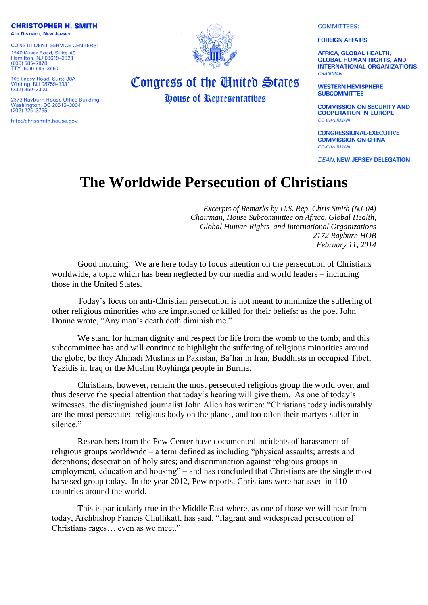**COMMITTEES:** 

## **FOREIGN AFFAIRS**

**AFRICA, GLOBAL HEALTH, GLOBAL HUMAN RIGHTS, AND INTERNATIONAL ORGANIZATIONS** CHAIRMAN

**WESTERN HEMISPHERE SUBCOMMITTEE** 

**COMMISSION ON SECURITY AND COOPERATION IN EUROPE CO-CHAIRMAN** 

**CONGRESSIONAL-EXECUTIVE COMMISSION ON CHINA CO-CHAIRMAN** 

**DEAN, NEW JERSEY DELEGATION** 

## **The Worldwide Persecution of Christians**

*Excerpts of Remarks by U.S. Rep. Chris Smith (NJ-04) Chairman, House Subcommittee on Africa, Global Health, Global Human Rights and International Organizations 2172 Rayburn HOB February 11, 2014*

Good morning. We are here today to focus attention on the persecution of Christians worldwide, a topic which has been neglected by our media and world leaders – including those in the United States.

Today's focus on anti-Christian persecution is not meant to minimize the suffering of other religious minorities who are imprisoned or killed for their beliefs: as the poet John Donne wrote, "Any man's death doth diminish me."

We stand for human dignity and respect for life from the womb to the tomb, and this subcommittee has and will continue to highlight the suffering of religious minorities around the globe, be they Ahmadi Muslims in Pakistan, Ba'hai in Iran, Buddhists in occupied Tibet, Yazidis in Iraq or the Muslim Royhinga people in Burma.

Christians, however, remain the most persecuted religious group the world over, and thus deserve the special attention that today's hearing will give them. As one of today's witnesses, the distinguished journalist John Allen has written: "Christians today indisputably are the most persecuted religious body on the planet, and too often their martyrs suffer in silence."

Researchers from the Pew Center have documented incidents of harassment of religious groups worldwide – a term defined as including "physical assaults; arrests and detentions; desecration of holy sites; and discrimination against religious groups in employment, education and housing" – and has concluded that Christians are the single most harassed group today. In the year 2012, Pew reports, Christians were harassed in 110 countries around the world.

This is particularly true in the Middle East where, as one of those we will hear from today, Archbishop Francis Chullikatt, has said, "flagrant and widespread persecution of Christians rages… even as we meet."



## Congress of the United States *House of Representatives*

**CHRISTOPHER H. SMITH** 

**4TH DISTRICT, NEW JERSEY** 

**CONSTITUENT SERVICE CENTERS:** 1540 Kuser Road, Suite A9

Hamilton, NJ 08619-3828<br>(609) 585-7878 TTY (609) 585-3650

108 Lacey Road, Suite 38A<br>Whiting, NJ 08759-1331<br>(732) 350-2300

2373 Rayburn House Office Building 2373 Rayburn House Office B<br>Washington, DC 20515–3004<br>(202) 225–3765

http://chrissmith.house.gov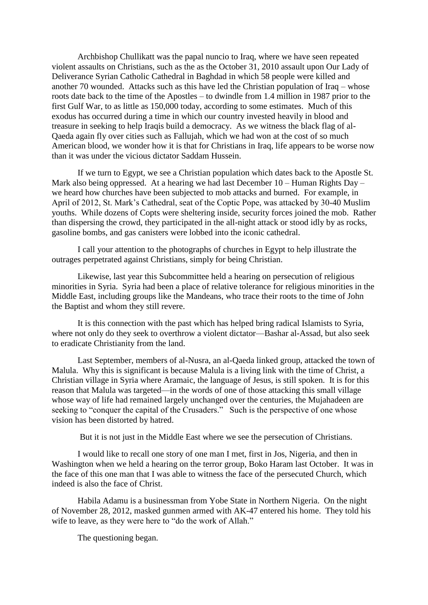Archbishop Chullikatt was the papal nuncio to Iraq, where we have seen repeated violent assaults on Christians, such as the as the October 31, 2010 assault upon Our Lady of Deliverance Syrian Catholic Cathedral in Baghdad in which 58 people were killed and another 70 wounded. Attacks such as this have led the Christian population of Iraq – whose roots date back to the time of the Apostles – to dwindle from 1.4 million in 1987 prior to the first Gulf War, to as little as 150,000 today, according to some estimates. Much of this exodus has occurred during a time in which our country invested heavily in blood and treasure in seeking to help Iraqis build a democracy. As we witness the black flag of al-Qaeda again fly over cities such as Fallujah, which we had won at the cost of so much American blood, we wonder how it is that for Christians in Iraq, life appears to be worse now than it was under the vicious dictator Saddam Hussein.

If we turn to Egypt, we see a Christian population which dates back to the Apostle St. Mark also being oppressed. At a hearing we had last December 10 – Human Rights Day – we heard how churches have been subjected to mob attacks and burned. For example, in April of 2012, St. Mark's Cathedral, seat of the Coptic Pope, was attacked by 30-40 Muslim youths. While dozens of Copts were sheltering inside, security forces joined the mob. Rather than dispersing the crowd, they participated in the all-night attack or stood idly by as rocks, gasoline bombs, and gas canisters were lobbed into the iconic cathedral.

I call your attention to the photographs of churches in Egypt to help illustrate the outrages perpetrated against Christians, simply for being Christian.

Likewise, last year this Subcommittee held a hearing on persecution of religious minorities in Syria. Syria had been a place of relative tolerance for religious minorities in the Middle East, including groups like the Mandeans, who trace their roots to the time of John the Baptist and whom they still revere.

It is this connection with the past which has helped bring radical Islamists to Syria, where not only do they seek to overthrow a violent dictator—Bashar al-Assad, but also seek to eradicate Christianity from the land.

Last September, members of al-Nusra, an al-Qaeda linked group, attacked the town of Malula. Why this is significant is because Malula is a living link with the time of Christ, a Christian village in Syria where Aramaic, the language of Jesus, is still spoken. It is for this reason that Malula was targeted—in the words of one of those attacking this small village whose way of life had remained largely unchanged over the centuries, the Mujahadeen are seeking to "conquer the capital of the Crusaders." Such is the perspective of one whose vision has been distorted by hatred.

But it is not just in the Middle East where we see the persecution of Christians.

I would like to recall one story of one man I met, first in Jos, Nigeria, and then in Washington when we held a hearing on the terror group, Boko Haram last October. It was in the face of this one man that I was able to witness the face of the persecuted Church, which indeed is also the face of Christ.

Habila Adamu is a businessman from Yobe State in Northern Nigeria. On the night of November 28, 2012, masked gunmen armed with AK-47 entered his home. They told his wife to leave, as they were here to "do the work of Allah."

The questioning began.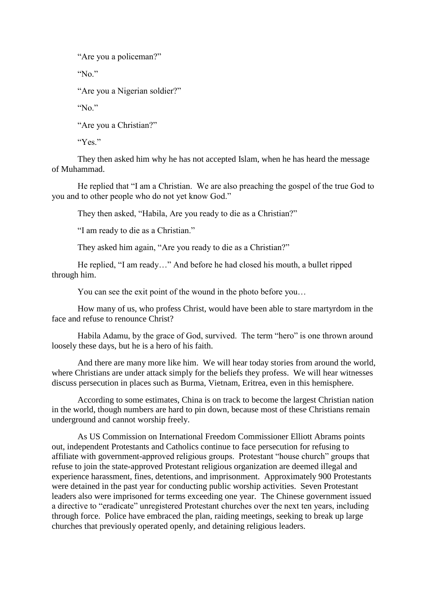"Are you a policeman?"

"No."

"Are you a Nigerian soldier?"

"No."

"Are you a Christian?"

"Yes."

They then asked him why he has not accepted Islam, when he has heard the message of Muhammad.

He replied that "I am a Christian. We are also preaching the gospel of the true God to you and to other people who do not yet know God."

They then asked, "Habila, Are you ready to die as a Christian?"

"I am ready to die as a Christian."

They asked him again, "Are you ready to die as a Christian?"

He replied, "I am ready…" And before he had closed his mouth, a bullet ripped through him.

You can see the exit point of the wound in the photo before you…

How many of us, who profess Christ, would have been able to stare martyrdom in the face and refuse to renounce Christ?

Habila Adamu, by the grace of God, survived. The term "hero" is one thrown around loosely these days, but he is a hero of his faith.

And there are many more like him. We will hear today stories from around the world, where Christians are under attack simply for the beliefs they profess. We will hear witnesses discuss persecution in places such as Burma, Vietnam, Eritrea, even in this hemisphere.

According to some estimates, China is on track to become the largest Christian nation in the world, though numbers are hard to pin down, because most of these Christians remain underground and cannot worship freely.

As US Commission on International Freedom Commissioner Elliott Abrams points out, independent Protestants and Catholics continue to face persecution for refusing to affiliate with government-approved religious groups. Protestant "house church" groups that refuse to join the state-approved Protestant religious organization are deemed illegal and experience harassment, fines, detentions, and imprisonment. Approximately 900 Protestants were detained in the past year for conducting public worship activities. Seven Protestant leaders also were imprisoned for terms exceeding one year. The Chinese government issued a directive to "eradicate" unregistered Protestant churches over the next ten years, including through force. Police have embraced the plan, raiding meetings, seeking to break up large churches that previously operated openly, and detaining religious leaders.